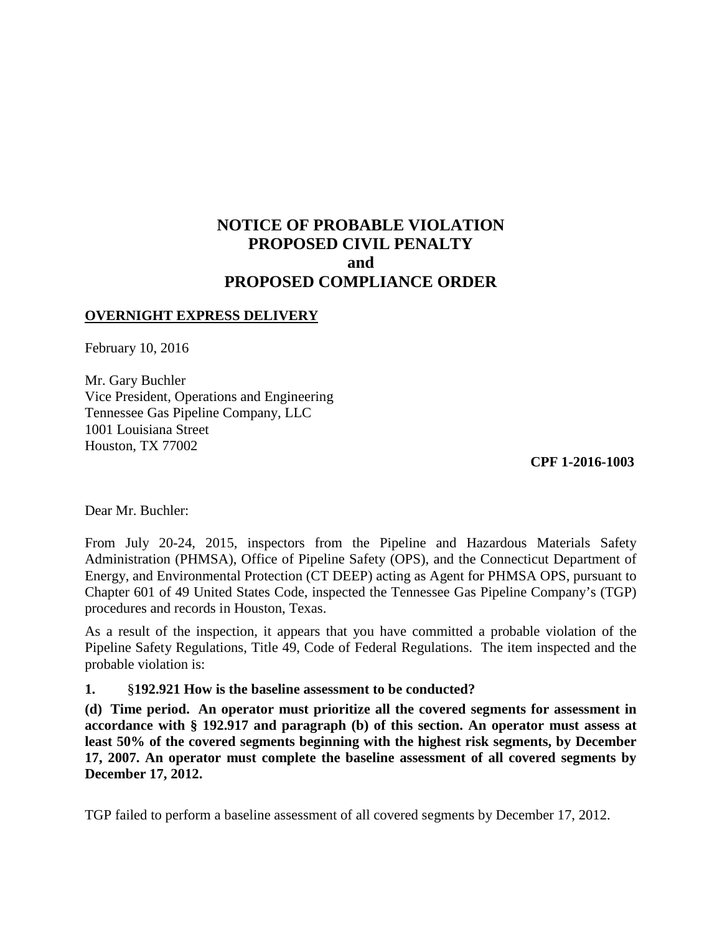# **NOTICE OF PROBABLE VIOLATION PROPOSED CIVIL PENALTY and PROPOSED COMPLIANCE ORDER**

### **OVERNIGHT EXPRESS DELIVERY**

February 10, 2016

Mr. Gary Buchler Vice President, Operations and Engineering Tennessee Gas Pipeline Company, LLC 1001 Louisiana Street Houston, TX 77002

**CPF 1-2016-1003** 

Dear Mr. Buchler:

From July 20-24, 2015, inspectors from the Pipeline and Hazardous Materials Safety Administration (PHMSA), Office of Pipeline Safety (OPS), and the Connecticut Department of Energy, and Environmental Protection (CT DEEP) acting as Agent for PHMSA OPS, pursuant to Chapter 601 of 49 United States Code, inspected the Tennessee Gas Pipeline Company's (TGP) procedures and records in Houston, Texas.

As a result of the inspection, it appears that you have committed a probable violation of the Pipeline Safety Regulations, Title 49, Code of Federal Regulations. The item inspected and the probable violation is:

#### **1.** §**192.921 How is the baseline assessment to be conducted?**

**(d) Time period. An operator must prioritize all the covered segments for assessment in accordance with § 192.917 and paragraph (b) of this section. An operator must assess at least 50% of the covered segments beginning with the highest risk segments, by December 17, 2007. An operator must complete the baseline assessment of all covered segments by December 17, 2012.** 

TGP failed to perform a baseline assessment of all covered segments by December 17, 2012.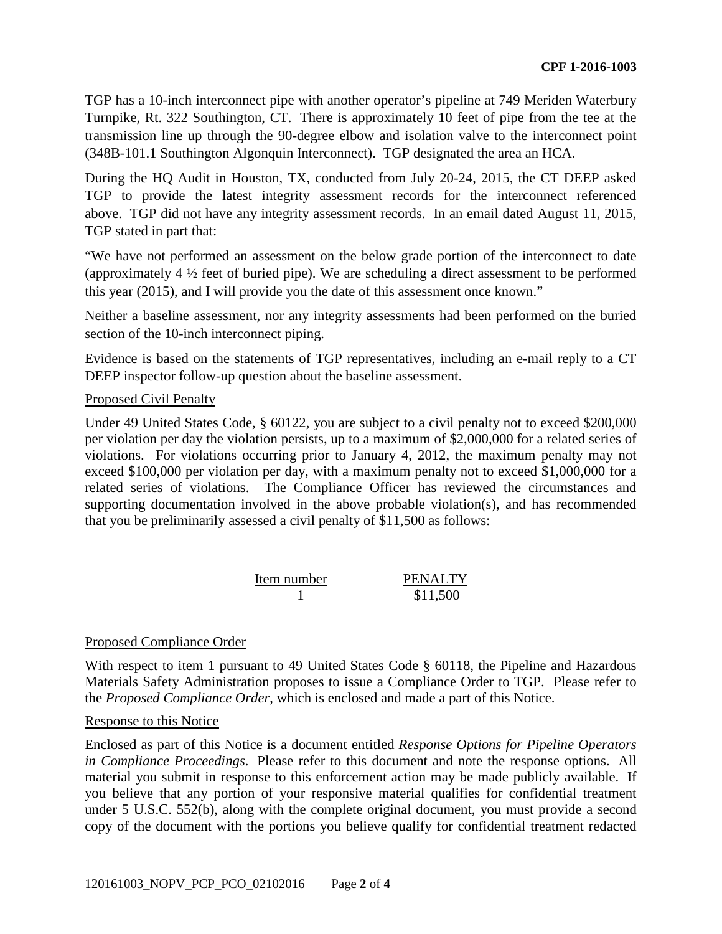TGP has a 10-inch interconnect pipe with another operator's pipeline at 749 Meriden Waterbury Turnpike, Rt. 322 Southington, CT. There is approximately 10 feet of pipe from the tee at the transmission line up through the 90-degree elbow and isolation valve to the interconnect point (348B-101.1 Southington Algonquin Interconnect). TGP designated the area an HCA.

During the HQ Audit in Houston, TX, conducted from July 20-24, 2015, the CT DEEP asked TGP to provide the latest integrity assessment records for the interconnect referenced above. TGP did not have any integrity assessment records. In an email dated August 11, 2015, TGP stated in part that:

"We have not performed an assessment on the below grade portion of the interconnect to date (approximately 4 ½ feet of buried pipe). We are scheduling a direct assessment to be performed this year (2015), and I will provide you the date of this assessment once known."

Neither a baseline assessment, nor any integrity assessments had been performed on the buried section of the 10-inch interconnect piping.

Evidence is based on the statements of TGP representatives, including an e-mail reply to a CT DEEP inspector follow-up question about the baseline assessment.

### Proposed Civil Penalty

Under 49 United States Code, § 60122, you are subject to a civil penalty not to exceed \$200,000 per violation per day the violation persists, up to a maximum of \$2,000,000 for a related series of violations. For violations occurring prior to January 4, 2012, the maximum penalty may not exceed \$100,000 per violation per day, with a maximum penalty not to exceed \$1,000,000 for a related series of violations. The Compliance Officer has reviewed the circumstances and supporting documentation involved in the above probable violation(s), and has recommended that you be preliminarily assessed a civil penalty of \$11,500 as follows:

Item number PENALTY 1 \$11,500

## Proposed Compliance Order

With respect to item 1 pursuant to 49 United States Code § 60118, the Pipeline and Hazardous Materials Safety Administration proposes to issue a Compliance Order to TGP. Please refer to the *Proposed Compliance Order*, which is enclosed and made a part of this Notice.

### Response to this Notice

Enclosed as part of this Notice is a document entitled *Response Options for Pipeline Operators in Compliance Proceedings*. Please refer to this document and note the response options. All material you submit in response to this enforcement action may be made publicly available. If you believe that any portion of your responsive material qualifies for confidential treatment under 5 U.S.C. 552(b), along with the complete original document, you must provide a second copy of the document with the portions you believe qualify for confidential treatment redacted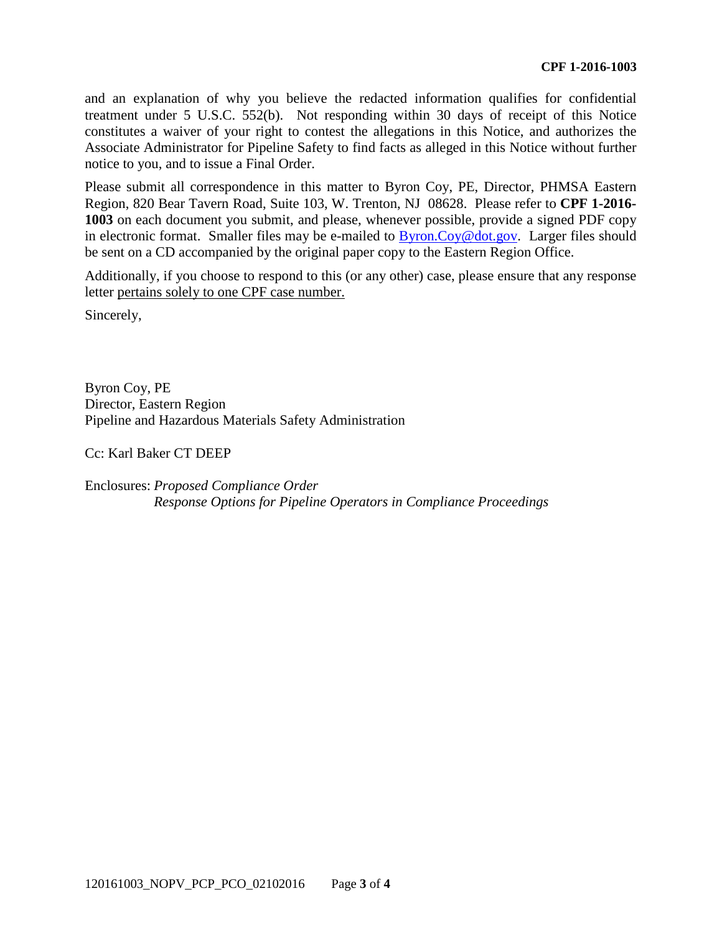and an explanation of why you believe the redacted information qualifies for confidential treatment under 5 U.S.C. 552(b). Not responding within 30 days of receipt of this Notice constitutes a waiver of your right to contest the allegations in this Notice, and authorizes the Associate Administrator for Pipeline Safety to find facts as alleged in this Notice without further notice to you, and to issue a Final Order.

Please submit all correspondence in this matter to Byron Coy, PE, Director, PHMSA Eastern Region, 820 Bear Tavern Road, Suite 103, W. Trenton, NJ 08628. Please refer to **CPF 1-2016- 1003** on each document you submit, and please, whenever possible, provide a signed PDF copy in electronic format. Smaller files may be e-mailed to Byron.Coy@dot.gov. Larger files should be sent on a CD accompanied by the original paper copy to the Eastern Region Office.

Additionally, if you choose to respond to this (or any other) case, please ensure that any response letter pertains solely to one CPF case number.

Sincerely,

Byron Coy, PE Director, Eastern Region Pipeline and Hazardous Materials Safety Administration

Cc: Karl Baker CT DEEP

Enclosures: *Proposed Compliance Order Response Options for Pipeline Operators in Compliance Proceedings*